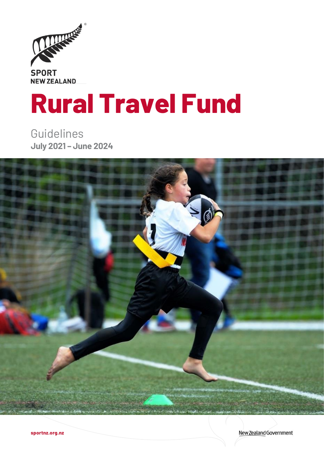

# **Rural Travel Fund**

Guidelines **July 2021 – June 2024**



New Zealand Government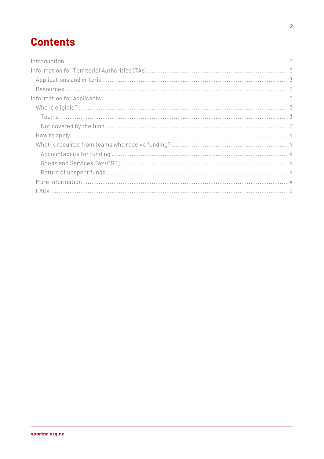## **Contents**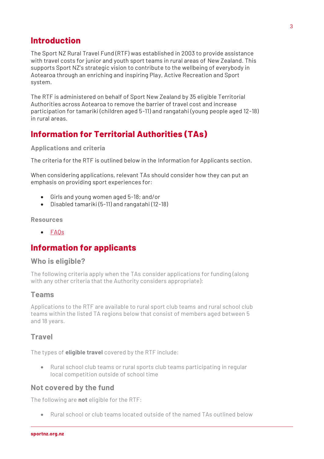## <span id="page-2-0"></span>**Introduction**

The Sport NZ Rural Travel Fund (RTF) was established in 2003 to provide assistance with travel costs for junior and youth sport teams in rural areas of New Zealand. This supports Sport NZ's strategic vision to contribute to the wellbeing of everybody in Aotearoa through an enriching and inspiring Play, Active Recreation and Sport system.

The RTF is administered on behalf of Sport New Zealand by 35 eligible Territorial Authorities across Aotearoa to remove the barrier of travel cost and increase participation for tamariki (children aged 5-11) and rangatahi (young people aged 12-18) in rural areas.

## <span id="page-2-1"></span>**Information for Territorial Authorities (TAs)**

## <span id="page-2-2"></span>**Applications and criteria**

The criteria for the RTF is outlined below in the Information for Applicants section.

When considering applications, relevant TAs should consider how they can put an emphasis on providing sport experiences for:

- Girls and young women aged 5-18; and/or
- Disabled tamariki (5-11) and rangatahi (12-18)

#### <span id="page-2-3"></span>**Resources**

• [FAQs](#page-3-7)

## <span id="page-2-4"></span>**Information for applicants**

## <span id="page-2-5"></span>**Who is eligible?**

The following criteria apply when the TAs consider applications for funding (along with any other criteria that the Authority considers appropriate):

## <span id="page-2-6"></span>**Teams**

Applications to the RTF are available to rural sport club teams and rural school club teams within the listed TA regions below that consist of members aged between 5 and 18 years.

## **Travel**

The types of **eligible travel** covered by the RTF include:

• Rural school club teams or rural sports club teams participating in regular local competition outside of school time

## <span id="page-2-7"></span>**Not covered by the fund**

The following are **not** eligible for the RTF:

• Rural school or club teams located outside of the named TAs outlined below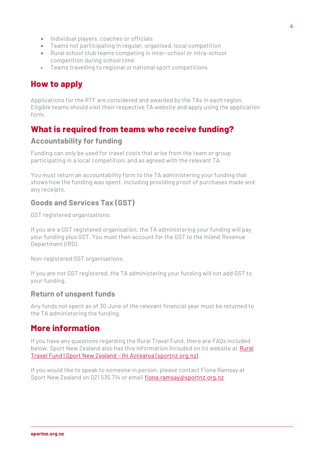- Individual players, coaches or officials
- Teams not participating in regular, organised, local competition
- Rural school club teams competing in inter-school or intra-school competition during school time
- Teams travelling to regional or national sport competitions

## <span id="page-3-0"></span>**How to apply**

Applications for the RTF are considered and awarded by the TAs in each region. Eligible teams should visit their respective TA website and apply using the application form.

## <span id="page-3-1"></span>**What is required from teams who receive funding?**

## <span id="page-3-2"></span>**Accountability for funding**

Funding can only be used for travel costs that arise from the team or group participating in a local competition, and as agreed with the relevant TA.

You must return an accountability form to the TA administering your funding that shows how the funding was spent, including providing proof of purchases made and any receipts.

## <span id="page-3-3"></span>**Goods and Services Tax (GST)**

GST registered organisations:

If you are a GST registered organisation, the TA administering your funding will pay your funding plus GST. You must then account for the GST to the Inland Revenue Department (IRD).

Non-registered GST organisations:

If you are not GST registered, the TA administering your funding will not add GST to your funding.

## <span id="page-3-4"></span>**Return of unspent funds**

Any funds not spent as of 30 June of the relevant financial year must be returned to the TA administering the funding.

## <span id="page-3-5"></span>**More information**

If you have any questions regarding the Rural Travel Fund, there are FAQs included below. Sport New Zealand also has this information included on its website at Rural [Travel Fund | Sport New Zealand -](https://sportnz.org.nz/resources/rural-travel-fund/) Ihi Aotearoa (sportnz.org.nz).

<span id="page-3-7"></span><span id="page-3-6"></span>If you would like to speak to someone in person, please contact Fiona Ramsay at Sport New Zealand on 021 535 714 or email [fiona.ramsay@sportnz.org.nz](mailto:fiona.ramsay@sportnz.org.nz)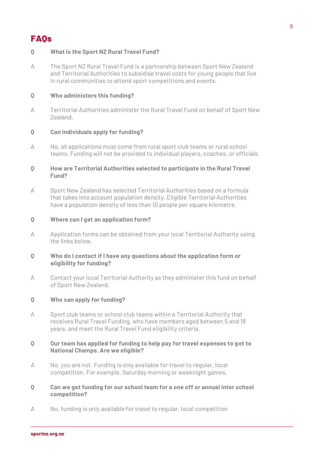## **FAQs**

## **Q What is the Sport NZ Rural Travel Fund?**

A The Sport NZ Rural Travel Fund is a partnership between Sport New Zealand and Territorial Authorities to subsidise travel costs for young people that live in rural communities to attend sport competitions and events.

## **Q Who administers this funding?**

A Territorial Authorities administer the Rural Travel Fund on behalf of Sport New Zealand.

## **Q Can individuals apply for funding?**

A No, all applications must come from rural sport club teams or rural school teams. Funding will not be provided to individual players, coaches, or officials.

## **Q How are Territorial Authorities selected to participate in the Rural Travel Fund?**

A Sport New Zealand has selected Territorial Authorities based on a formula that takes into account population density. Eligible Territorial Authorities have a population density of less than 10 people per square kilometre.

## **Q Where can I get an application form?**

A Application forms can be obtained from your local Territorial Authority using the links below.

## **Q Who do I contact if I have any questions about the application form or eligibility for funding?**

A Contact your local Territorial Authority as they administer this fund on behalf of Sport New Zealand.

## **Q Who can apply for funding?**

A Sport club teams or school club teams within a Territorial Authority that receives Rural Travel Funding, who have members aged between 5 and 18 years, and meet the Rural Travel Fund eligibility criteria.

## **Q Our team has applied for funding to help pay for travel expenses to get to National Champs. Are we eligible?**

A No, you are not. Funding is only available for travel to regular, local competition. For example, Saturday morning or weeknight games.

#### **Q Can we get funding for our school team for a one off or annual inter school competition?**

A No, funding is only available for travel to regular, local competition